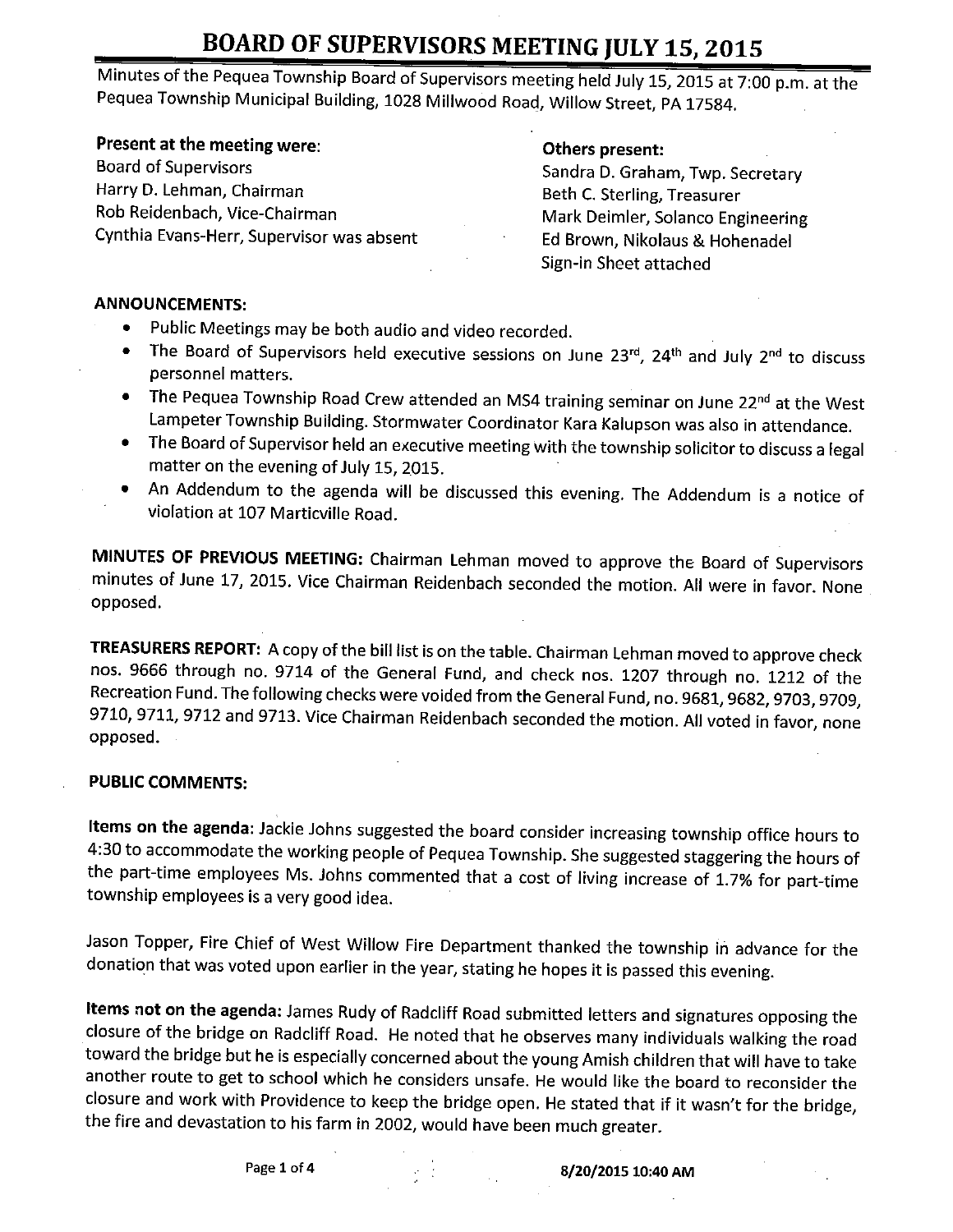Minutes of the Pequea Township Board of Supervisors meeting held July 15, 2015 at 7:00 p.m. at the Pequea Township Municipal Building, 1028 Millwood Road, Willow Street, PA 17584.

**Present at the meeting were: Calculary Constructs Present:** Others present:<br>Board of Supervisors **Sandra D** Graba Board of Supervisors<br>Board of Supervisors Sandra D. Graham, Twp. Secretary<br>Secretary Best C. Sterling Treasurer Harry D. Lehman, Chairman Beth C. Sterling, Treasurer Cynthia Evans-Herr, Supervisor was absent

Mark Deimler, Solanco Engineering<br>Ed Brown, Nikolaus & Hohenadel Sign-in Sheet attached

#### ANNOUNCEMENTS:

- $\bullet$ Public Meetings may be both audio and video recorded.
- The Board of Supervisors held executive sessions on June 23 $^{rd}$ , 24<sup>th</sup> and July 2<sup>nd</sup> to discuss  $\bullet$ personnel matters.
- The Pequea Township Road Crew attended an MS4 training seminar on June 22<sup>nd</sup> at the West  $\bullet$ Lampeter Township Building. Stormwater Coordinator Kara Kalupson was also in attendance.
- The Board of Supervisor held an executive meeting with the township solicitor to discuss <sup>a</sup> legal matter on the evening of July 15, 2015.
- An Addendum to the agenda will be discussed this evening. The Addendum is <sup>a</sup> notice of  $\bullet$ violation at 107 Marticville Road.

MINUTES OF PREVIOUS MEETING: Chairman Lehman moved to approve the Board of Supervisors minutes of June 17, 2015. Vice Chairman Reidenbach seconded the motion. All were in favor. None opposed.

TREASURERS REPORT: A copy of the bill list is on the table. Chairman Lehman moved to approve check nos. 9666 through no. 9714 of the General Fund, and check nos. 1207 through no. 1212 of the Recreation Fund. The following checks were voided from the General Fund, no. 9681, 9682, 9703, 9709, 9710, 9711, 9712 and 9713. Vice Chairman Reidenbach seconded the motion. All voted in favor, none opposed.

### PUBLIC COMMENTS:

Items on the agenda: Jackie Johns suggested the board consider increasing township office hours to 4: 30 to accommodate the working people of Pequea Township. She suggested staggering the hours of the part-time employees Ms. Johns commented that <sup>a</sup> cost of living increase of 1. 7% for part-time township employees is a very good idea.

Jason Topper, Fire Chief of West Willow Fire Department thanked the township in advance for the donation that was voted upon earlier in the year, stating he hopes it is passed this evening.

Items not on the agenda: James Rudy of Radcliff Road submitted letters and signatures opposing the closure of the bridge on Radcliff Road. He noted that he observes many individuals walking the road toward the bridge but he is especially concerned about the young Amish children that will have to take another route to get to school which he considers unsafe. He would like the board to reconsider the closure and work with Providence to keep the bridge open. He stated that if it wasn't for the bridge, the fire and devastation to his farm in 2002, would have been much greater.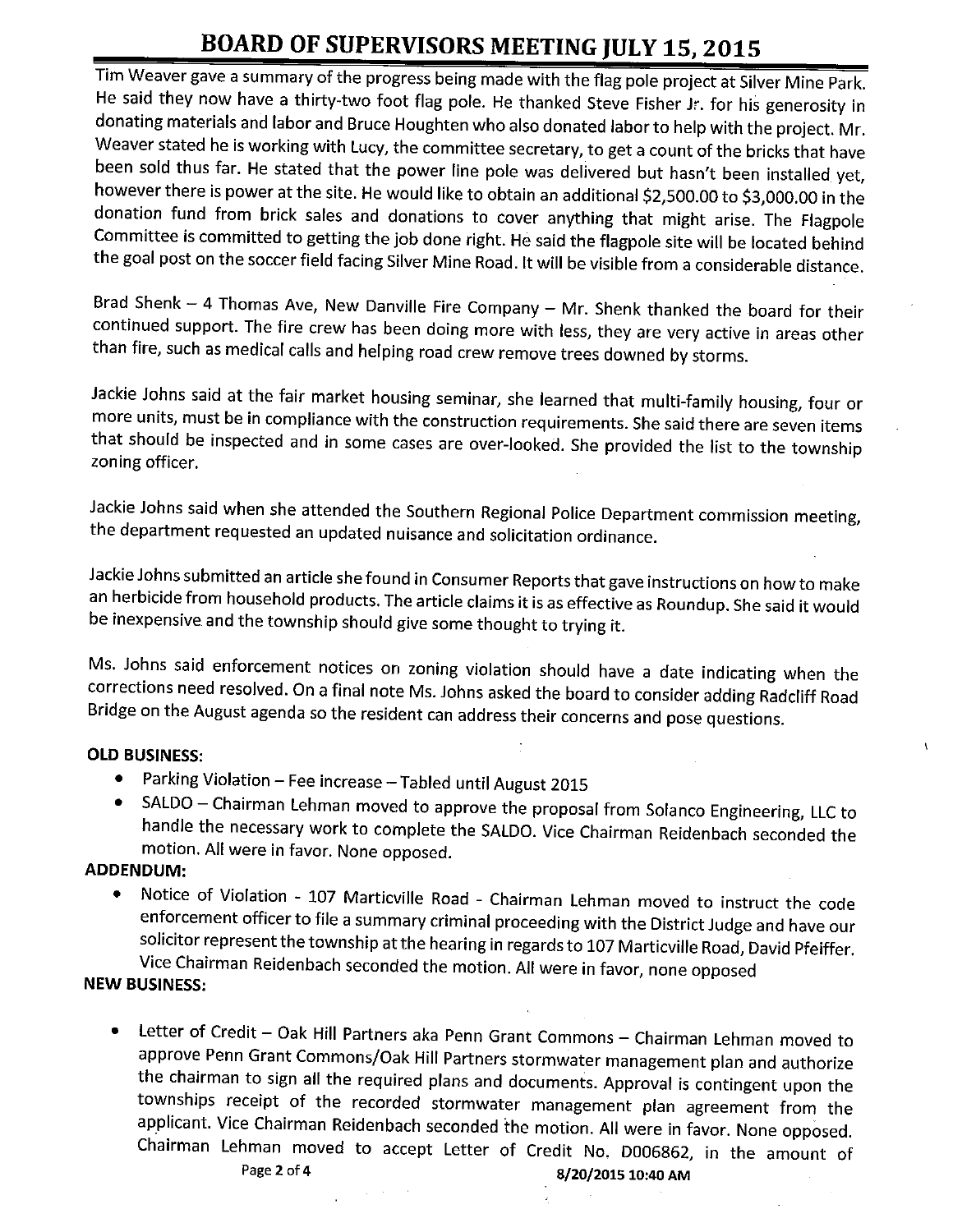Tim Weaver gave a summary of the progress being made with the flag pole project at Silver Mine Park. He said they now have <sup>a</sup> thirty-two foot flag pole. He thanked Steve Fisher Jr. for his generosity in donating materials and labor and Bruce Houghten who also donated labor to help with the project. Mr. Weaver stated he is working with Lucy, the committee secretary, to get a count of the bricks that have been sold thus far. He stated that the power line pole was delivered but hasn't been installed yet, however there is power at the site. He would like to obtain an additional \$2,500.00 to \$3,000.00 in the donation fund from brick sales and donations to cover anything that might arise. The Flagpole Committee is committed to getting the job done right. He said the flagpole site will be located behind the goal post on the soccer field facing Silver Mine Road. It will be visible from <sup>a</sup> considerable distance.

Brad Shenk — <sup>4</sup> Thomas Ave, New Danville Fire Company — Mr. Shenk thanked the board for their continued support. The fire crew has been doing more with less, they are very active in areas other than fire, such as medical calls and helping road crew remove trees downed by storms.

Jackie Johns said at the fair market housing seminar, she learned that multi-family housing, four or more units, must be in compliance with the construction requirements. She said there are seven items that should be inspected and in some cases are over-looked. She provided the list to the township zoning officer.

Jackie Johns said when she attended the Southern Regional Police Department commission meeting, the department requested an updated nuisance and solicitation ordinance.

Jackie Johns submitted an article she found in Consumer Reports that gave instructions on how to make an herbicide from household products. The article claims it is as effective as Roundup. She said it would be inexpensive and the township should give some thought to trying it.

Ms. Johns said enforcement notices on zoning violation should have <sup>a</sup> date indicating when the corrections need resolved. On a final note Ms. Johns asked the board to consider adding Radcliff Road Bridge on the August agenda so the resident can address their concerns and pose questions.

#### OLD BUSINESS:

- Parking Violation— Fee increase— Tabled until August 2015  $\bullet$
- SALDO Chairman Lehman moved to approve the proposal from Solanco Engineering, LLC to  $\bullet$ handle the necessary work to complete the SALDO. Vice Chairman Reidenbach seconded the motion. All were in favor. None opposed.

#### ADDENDUM:

Notice of Violation - 107 Marticville Road - Chairman Lehman moved to instruct the code enforcement officer to file <sup>a</sup> summary criminal proceeding with the District Judge and have our solicitor represent the township at the hearing in regards to 107 Marticville Road, David Pfeiffer. Vice Chairman Reidenbach seconded the motion. All were in favor, none opposed

### NEW BUSINESS:

Letter of Credit — Oak Hill Partners aka Penn Grant Commons — Chairman Lehman moved to  $\bullet$ approve Penn Grant Commons/Oak Hill Partners stormwater management plan and authorize the chairman to sign all the required plans and documents. Approval is contingent upon the townships receipt of the recorded stormwater management plan agreement from the applicant. Vice Chairman Reidenbach seconded the motion. All were in favor. None opposed. Chairman Lehman moved to accept Letter of Credit No. D006862, in the amount of<br> $Page 2 of 4$   $\mathbf{R}$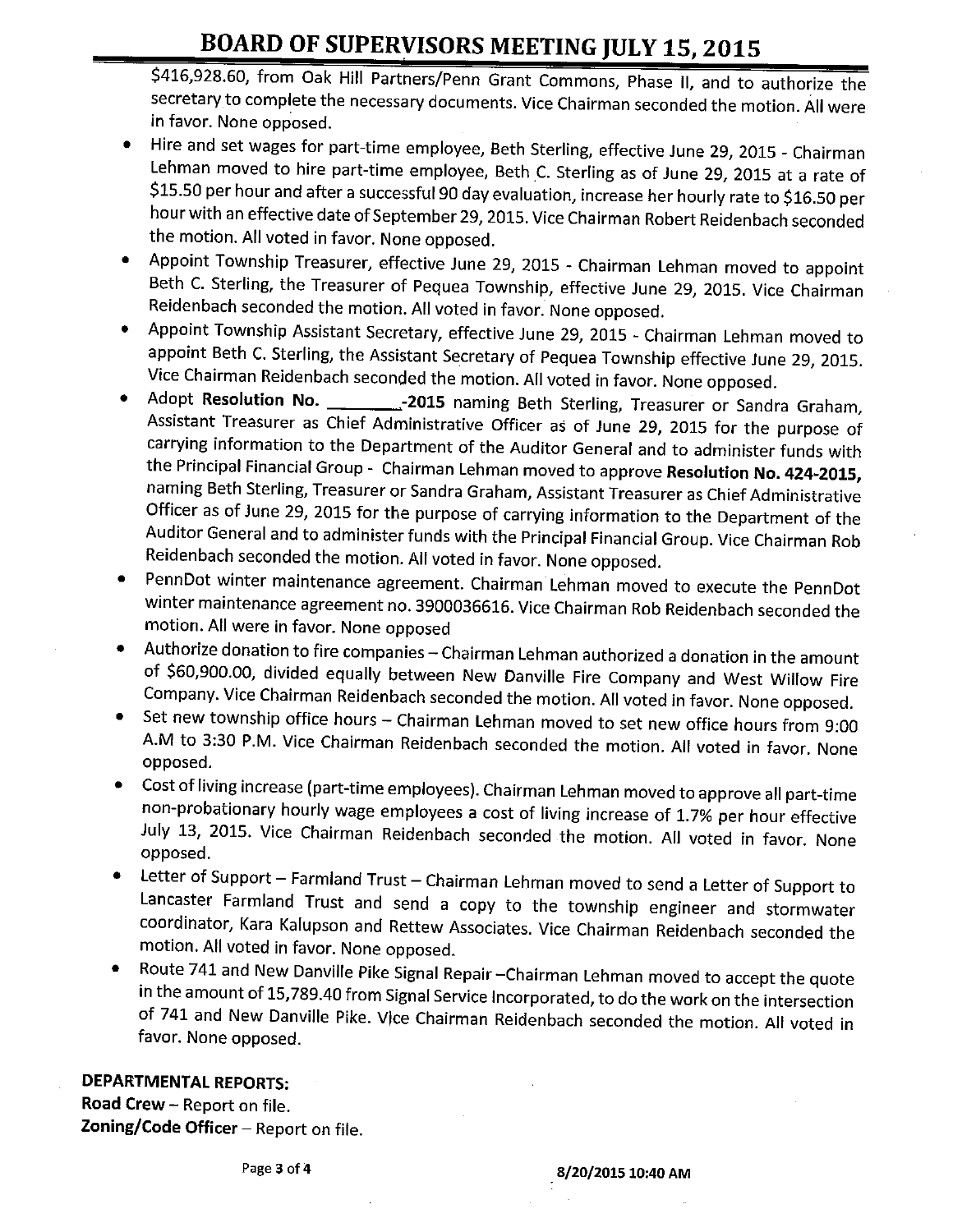\$416,928.60, from Oak Hill Partners/ Penn Grant Commons, Phase II, and to authorize the secretary to complete the necessary documents. Vice Chairman seconded the motion. All were in favor. None opposed.

- Hire and set wages for part-time employee, Beth Sterling, effective June 29, 2015 Chairman Lehman moved to hire part-time employee, Beth C. Sterling as of June 29, 2015 at <sup>a</sup> rate of \$15.50 per hour and after a successful 90 day evaluation, increase her hourly rate to \$16.50 per hour with an effective date of September 29, 2015. Vice Chairman Robert Reidenbach seconded the motion. All voted in favor. None opposed.
- Appoint Township Treasurer, effective June 29, 2015 Chairman Lehman moved to appoint  $\bullet$ Beth C. Sterling, the Treasurer of Pequea Township, effective June 29, 2015. Vice Chairman Reidenbach seconded the motion. All voted in favor. None opposed.
- Appoint Township Assistant Secretary, effective June 29, 2015 Chairman Lehman moved to appoint Beth C. Sterling, the Assistant Secretary of Pequea Township effective June 29, 2015. Vice Chairman Reidenbach seconded the motion. All voted in favor. None opposed.
- Adopt Resolution No. \_\_ \_\_ \_\_ \_ -2015 naming Beth Sterling, Treasurer or Sandra Graham, Assistant Treasurer as Chief Administrative Officer as of June 29, 2015 for the purpose of carrying information to the Department of the Auditor General and to administer funds with the Principal Financial Group - Chairman Lehman moved to approve Resolution No. 424-2015, naming Beth Sterling, Treasurer or Sandra Graham, Assistant Treasurer as Chief Administrative Officer as of June 29, 2015 for the purpose of carrying information to the Department of the Auditor General and to administer funds with the Principal Financial Group. Vice Chairman Rob Reidenbach seconded the motion. All voted in favor. None opposed.
- PennDot winter maintenance agreement. Chairman Lehman moved to execute the PennDot winter maintenance agreement no. 3900036616. Vice Chairman Rob Reidenbach seconded the motion. All were in favor. None opposed
- Authorize donation to fire companies—Chairman Lehman authorized <sup>a</sup> donation in the amount of \$60,900.00, divided equally between New Danville Fire Company and West Willow Fire Company. Vice Chairman Reidenbach seconded the motion. All voted in favor. None opposed.
- Set new township office hours Chairman Lehman moved to set new office hours from 9:00 A.M to 3:30 P.M. Vice Chairman Reidenbach seconded the motion. All voted in favor. None opposed.
- Cost of living increase (part-time employees). Chairman Lehman moved to approve all part-time non-probationary hourly wage employees a cost of living increase of 1. 7% per hour effective July 13, 2015. Vice Chairman Reidenbach seconded the motion. All voted in favor. None opposed.
- Letter of Support— Farmland Trust— Chairman Lehman moved to send <sup>a</sup> Letter of Support to Lancaster Farmland Trust and send <sup>a</sup> copy to the township engineer and stormwater coordinator, Kara Kalupson and Rettew Associates. Vice Chairman Reidenbach seconded the motion. All voted in favor. None opposed.
- Route 741 and New Danville Pike Signal Repair—Chairman Lehman moved to accept the quote  $\bullet$ in the amount of 15, 789.40 from Signal Service Incorporated, to do the work on the intersection of 741 and New Danville Pike. Vice Chairman Reidenbach seconded the motion. All voted in favor. None opposed.

DEPARTMENTAL REPORTS:

Road Crew— Report on file. Zoning/ Code Officer - Report on file.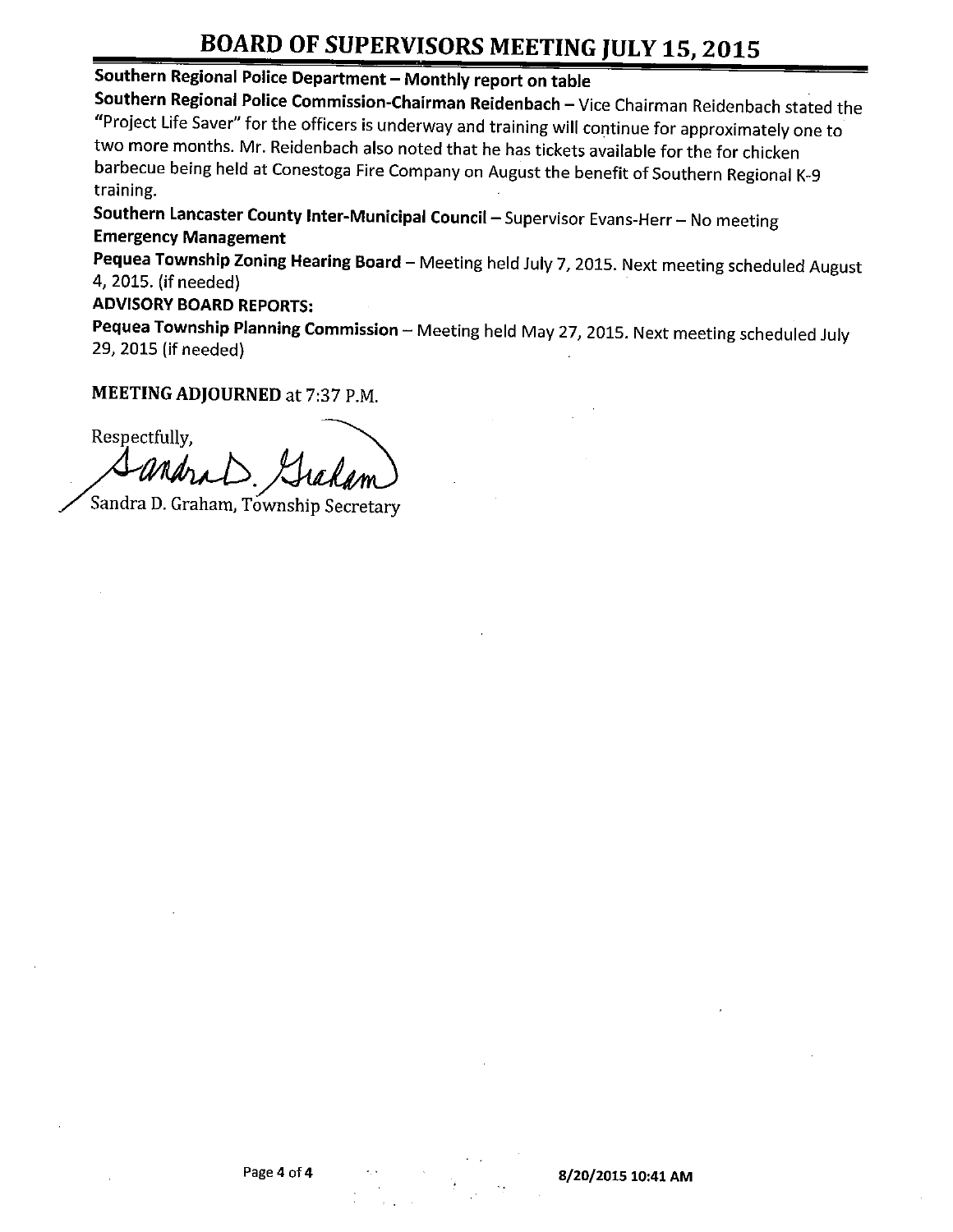## Southern Regional Police Department—Monthly report on table

Southern Regional Police Commission-Chairman Reidenbach—Vice Chairman Reidenbach stated the Project Life Saver" for the officers is underway and training will continue for approximately one to two more months. Mr. Reidenbach also noted that he has tickets available for the for chicken barbecue being held at Conestoga Fire Company on August the benefit of Southern Regional K-9 training.

Southern Lancaster County Inter-Municipal Council - Supervisor Evans-Herr - No meeting Emergency Management

Pequea Township Zoning Hearing Board - Meeting held July 7, 2015. Next meeting scheduled August 4, 2015. (if needed)

### ADVISORY BOARD REPORTS:

Pequea Township Planning Commission - Meeting held May 27, 2015. Next meeting scheduled July 29, 2015 (if needed)

## MEETING ADJOURNED at 7:37 P.M.

Respectfully, ra.D. Gradam

Sandra D. Graham, Township Secretary